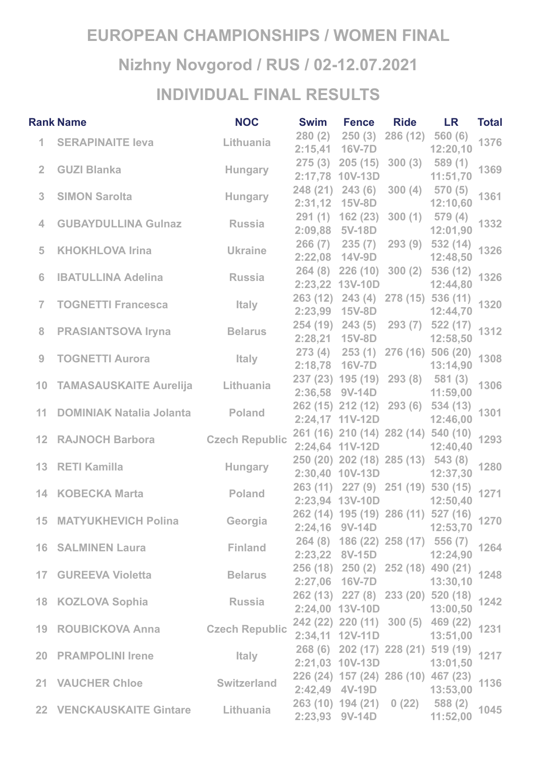## **EUROPEAN CHAMPIONSHIPS / WOMEN FINAL Nizhny Novgorod / RUS / 02-12.07.2021 INDIVIDUAL FINAL RESULTS**

| <b>NOC</b><br><b>Rank Name</b> |                                              |                           |        | Swim Fence Ride LR                                  |                  |                                                                      | <b>Total</b> |
|--------------------------------|----------------------------------------------|---------------------------|--------|-----------------------------------------------------|------------------|----------------------------------------------------------------------|--------------|
|                                | 1 SERAPINAITE leva                           | Lithuania                 | 280(2) | 250(3)                                              | 286 (12) 560 (6) | 12:20,10                                                             | 1376         |
| $\overline{2}$                 | <b>GUZI Blanka</b>                           | <b>Hungary</b>            |        | 275 (3) 205 (15) 300 (3) 589 (1)<br>2:17,78 10V-13D |                  | 11:51,70                                                             | 1369         |
| 3 <sup>1</sup>                 | <b>SIMON Sarolta</b>                         | <b>Example 19 Hungary</b> |        | 248 (21) 243 (6) 300 (4) 570 (5)<br>2:31,12 15V-8D  |                  | 12:10,60                                                             | 1361         |
| $\overline{4}$                 | <b>GUBAYDULLINA Guinaz Russia</b>            |                           |        | 291 (1) 162 (23) 300 (1) 579 (4)<br>2:09,88 5V-18D  |                  | 12:01,90                                                             | 1332         |
| 5                              | KHOKHLOVA Irina <b>Manufatta Ukraine</b>     |                           |        |                                                     |                  | 266 (7) 235 (7) 293 (9) 532 (14)<br>12:48,50                         | 1326         |
| 6                              | <b>IBATULLINA Adelina</b> Russia             |                           |        | 2:23,22 13V-10D                                     |                  | 264 (8) 226 (10) 300 (2) 536 (12)<br>12:44,80                        | 1326         |
| $\overline{7}$                 | <b>TOGNETTI Francesca</b>                    | <b>Example 15</b>         |        |                                                     |                  | 263 (12) 243 (4) 278 (15) 536 (11)<br>12:44,70                       | 1320         |
| 8                              | <b>PRASIANTSOVA Iryna</b>                    | <b>Example 18 Belarus</b> |        | 2:28,21 15V-8D                                      |                  | 254 (19) 243 (5) 293 (7) 522 (17)<br>12:58,50                        | 1312         |
| $9 -$                          | TOGNETTI Aurora Maly                         |                           |        |                                                     |                  | 273 (4) 253 (1) 276 (16) 506 (20)<br>13:14,90                        | 1308         |
|                                | 10 TAMASAUSKAITE Aurelija Lithuania          |                           |        | 237 (23) 195 (19) 293 (8) 581 (3)<br>2:36,58 9V-14D |                  | 11:59,00                                                             | 1306         |
|                                | 11 DOMINIAK Natalia Jolanta Poland           |                           |        | 2:24,17 11V-12D                                     |                  | 262 (15) 212 (12) 293 (6) 534 (13)<br>12:46,00                       | 1301         |
|                                | 12 RAJNOCH Barbora Czech Republic            |                           |        | 2:24,64 11V-12D 12:40,40                            |                  | 261 (16) 210 (14) 282 (14) 540 (10)                                  | 1293         |
|                                | <b>Example 21 Hungary</b><br>13 RETI Kamilla |                           |        | 250 (20) 202 (18) 285 (13) 543 (8)                  |                  | 2:30,40 10V-13D 12:37,30                                             | 1280         |
|                                | 14 KOBECKA Marta                             | <b>Example 19 Poland</b>  |        |                                                     |                  | 263 (11) 227 (9) 251 (19) 530 (15)<br>2:23,94 13V-10D 12:50,40       | 1271         |
|                                | 15 MATYUKHEVICH Polina Georgia               |                           |        |                                                     |                  | $262(14)$ 195 (19) 286 (11) 527 (16) 1270<br>2:24,16 9V-14D 12:53,70 |              |
|                                | 16 SALMINEN Laura <b>Finland</b>             |                           |        | 264 (8) 186 (22) 258 (17) 556 (7)                   |                  | 2:23,22 8V-15D 12:24,90                                              | 1264         |
|                                | 17 GUREEVA Violetta in Belarus               |                           |        |                                                     |                  | 256 (18) 250 (2) 252 (18) 490 (21)<br>2:27,06 16V-7D 13:30,10        | 1248         |
|                                | 18 KOZLOVA Sophia Russia                     |                           |        | 2:24,00 13V-10D 13:00,50                            |                  | 262 (13) 227 (8) 233 (20) 520 (18)                                   | 1242         |
|                                | 19 ROUBICKOVA Anna Czech Republic            |                           |        | 2:34,11 12V-11D 13:51,00                            |                  | 242 (22) 220 (11) 300 (5) 469 (22)                                   | 1231         |
|                                | 20 PRAMPOLINI Irene Maly                     |                           |        | 2:21,03 10V-13D 13:01,50                            |                  | 268 (6) 202 (17) 228 (21) 519 (19)                                   | 1217         |
|                                | 21 VAUCHER Chloe Switzerland                 |                           |        | 2:42,49 4V-19D 13:53,00                             |                  | 226 (24) 157 (24) 286 (10) 467 (23)                                  | 1136         |
|                                | 22 VENCKAUSKAITE Gintare Lithuania           |                           |        | 2:23,93 9V-14D                                      |                  | 263 (10) 194 (21) 0 (22) 588 (2)<br>11:52,00                         | 1045         |